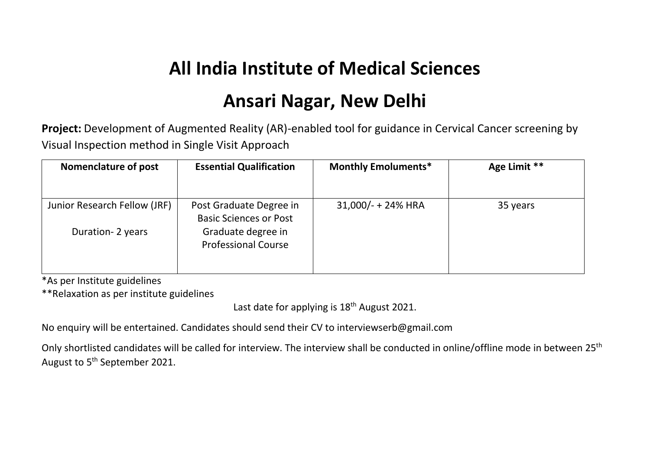## **All India Institute of Medical Sciences**

## **Ansari Nagar, New Delhi**

**Project:** Development of Augmented Reality (AR)-enabled tool for guidance in Cervical Cancer screening by Visual Inspection method in Single Visit Approach

| <b>Nomenclature of post</b>  | <b>Essential Qualification</b>                           | <b>Monthly Emoluments*</b> | Age Limit ** |
|------------------------------|----------------------------------------------------------|----------------------------|--------------|
|                              |                                                          |                            |              |
| Junior Research Fellow (JRF) | Post Graduate Degree in<br><b>Basic Sciences or Post</b> | $31,000/ - + 24\%$ HRA     | 35 years     |
| Duration-2 years             | Graduate degree in<br><b>Professional Course</b>         |                            |              |

\*As per Institute guidelines

\*\*Relaxation as per institute guidelines

Last date for applying is  $18<sup>th</sup>$  August 2021.

No enquiry will be entertained. Candidates should send their CV to [interviewserb@gmail.com](mailto:interviewserb@gmail.com) 

Only shortlisted candidates will be called for interview. The interview shall be conducted in online/offline mode in between 25<sup>th</sup> August to 5<sup>th</sup> September 2021.